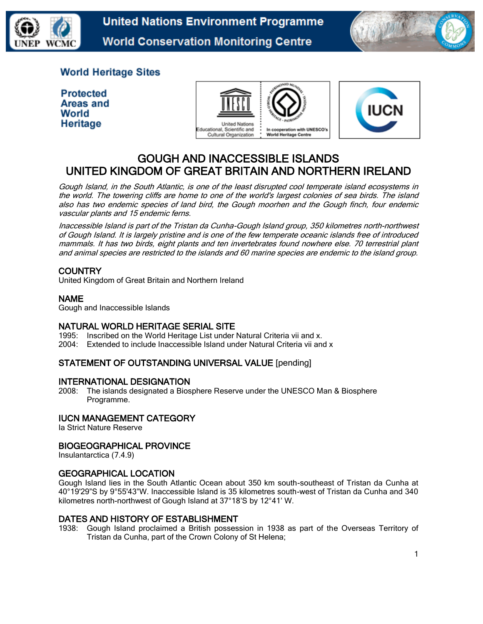

**United Nations Environment Programme World Conservation Monitoring Centre** 



# **World Heritage Sites**

**Protected** Areas and World Heritage





# GOUGH AND INACCESSIBLE ISLANDS UNITED KINGDOM OF GREAT BRITAIN AND NORTHERN IRELAND

Gough Island, in the South Atlantic, is one of the least disrupted cool temperate island ecosystems in the world. The towering cliffs are home to one of the world's largest colonies of sea birds. The island also has two endemic species of land bird, the Gough moorhen and the Gough finch, four endemic vascular plants and 15 endemic ferns.

Inaccessible Island is part of the Tristan da Cunha-Gough Island group, 350 kilometres north-northwest of Gough Island. It is largely pristine and is one of the few temperate oceanic islands free of introduced mammals. It has two birds, eight plants and ten invertebrates found nowhere else. 70 terrestrial plant and animal species are restricted to the islands and 60 marine species are endemic to the island group.

# **COUNTRY**

United Kingdom of Great Britain and Northern Ireland

# NAME

Gough and Inaccessible Islands

# NATURAL WORLD HERITAGE SERIAL SITE

1995: Inscribed on the World Heritage List under Natural Criteria vii and x. 2004: Extended to include Inaccessible Island under Natural Criteria vii and x

# STATEMENT OF OUTSTANDING UNIVERSAL VALUE [pending]

# INTERNATIONAL DESIGNATION

2008: The islands designated a Biosphere Reserve under the UNESCO Man & Biosphere Programme.

# IUCN MANAGEMENT CATEGORY

Ia Strict Nature Reserve

# BIOGEOGRAPHICAL PROVINCE

Insulantarctica (7.4.9)

# GEOGRAPHICAL LOCATION

Gough Island lies in the South Atlantic Ocean about 350 km south-southeast of Tristan da Cunha at 40°19'29"S by 9°55'43"W. Inaccessible Island is 35 kilometres south-west of Tristan da Cunha and 340 kilometres north-northwest of Gough Island at 37°18'S by 12°41' W.

#### DATES AND HISTORY OF ESTABLISHMENT

1938: Gough Island proclaimed a British possession in 1938 as part of the Overseas Territory of Tristan da Cunha, part of the Crown Colony of St Helena;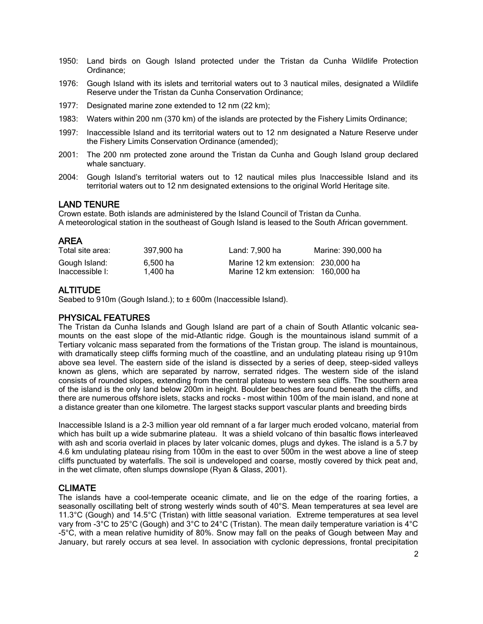- 1950: Land birds on Gough Island protected under the Tristan da Cunha Wildlife Protection Ordinance;
- 1976: Gough Island with its islets and territorial waters out to 3 nautical miles, designated a Wildlife Reserve under the Tristan da Cunha Conservation Ordinance;
- 1977: Designated marine zone extended to 12 nm (22 km);
- 1983: Waters within 200 nm (370 km) of the islands are protected by the Fishery Limits Ordinance;
- 1997: Inaccessible Island and its territorial waters out to 12 nm designated a Nature Reserve under the Fishery Limits Conservation Ordinance (amended);
- 2001: The 200 nm protected zone around the Tristan da Cunha and Gough Island group declared whale sanctuary.
- 2004: Gough Island's territorial waters out to 12 nautical miles plus Inaccessible Island and its territorial waters out to 12 nm designated extensions to the original World Heritage site.

# LAND TENURE

Crown estate. Both islands are administered by the Island Council of Tristan da Cunha. A meteorological station in the southeast of Gough Island is leased to the South African government.

# AREA

| Total site area: | 397.900 ha | Land: 7.900 ha                     | Marine: 390,000 ha |
|------------------|------------|------------------------------------|--------------------|
| Gough Island:    | 6.500 ha   | Marine 12 km extension: 230,000 ha |                    |
| Inaccessible I:  | 1.400 ha   | Marine 12 km extension: 160,000 ha |                    |

# **ALTITUDE**

Seabed to 910m (Gough Island.); to ± 600m (Inaccessible Island).

# PHYSICAL FEATURES

The Tristan da Cunha Islands and Gough Island are part of a chain of South Atlantic volcanic seamounts on the east slope of the mid-Atlantic ridge. Gough is the mountainous island summit of a Tertiary volcanic mass separated from the formations of the Tristan group. The island is mountainous, with dramatically steep cliffs forming much of the coastline, and an undulating plateau rising up 910m above sea level. The eastern side of the island is dissected by a series of deep, steep-sided valleys known as glens, which are separated by narrow, serrated ridges. The western side of the island consists of rounded slopes, extending from the central plateau to western sea cliffs. The southern area of the island is the only land below 200m in height. Boulder beaches are found beneath the cliffs, and there are numerous offshore islets, stacks and rocks - most within 100m of the main island, and none at a distance greater than one kilometre. The largest stacks support vascular plants and breeding birds

Inaccessible Island is a 2-3 million year old remnant of a far larger much eroded volcano, material from which has built up a wide submarine plateau. It was a shield volcano of thin basaltic flows interleaved with ash and scoria overlaid in places by later volcanic domes, plugs and dykes. The island is a 5.7 by 4.6 km undulating plateau rising from 100m in the east to over 500m in the west above a line of steep cliffs punctuated by waterfalls. The soil is undeveloped and coarse, mostly covered by thick peat and, in the wet climate, often slumps downslope (Ryan & Glass, 2001).

# CLIMATE

The islands have a cool-temperate oceanic climate, and lie on the edge of the roaring forties, a seasonally oscillating belt of strong westerly winds south of 40°S. Mean temperatures at sea level are 11.3°C (Gough) and 14.5°C (Tristan) with little seasonal variation. Extreme temperatures at sea level vary from -3°C to 25°C (Gough) and 3°C to 24°C (Tristan). The mean daily temperature variation is 4°C -5°C, with a mean relative humidity of 80%. Snow may fall on the peaks of Gough between May and January, but rarely occurs at sea level. In association with cyclonic depressions, frontal precipitation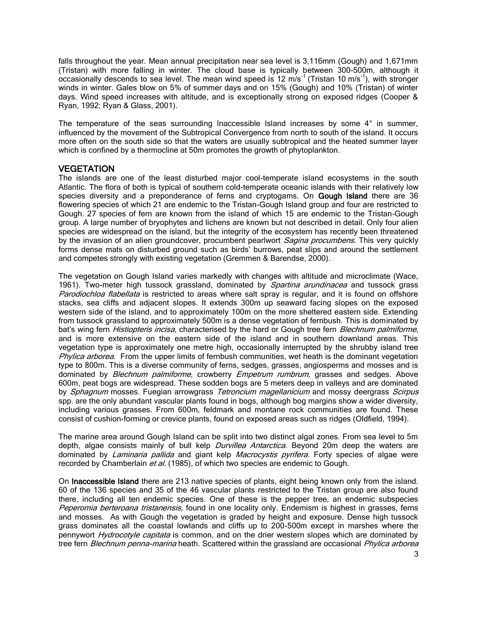falls throughout the year. Mean annual precipitation near sea level is 3,116mm (Gough) and 1,671mm (Tristan) with more falling in winter. The cloud base is typically between 300-500m, although it occasionally descends to sea level. The mean wind speed is 12 m/s<sup>-1</sup> (Tristan 10 m/s<sup>-1</sup>), with stronger winds in winter. Gales blow on 5% of summer days and on 15% (Gough) and 10% (Tristan) of winter days. Wind speed increases with altitude, and is exceptionally strong on exposed ridges (Cooper & Ryan, 1992; Ryan & Glass, 2001).

The temperature of the seas surrounding Inaccessible Island increases by some  $4^\circ$  in summer, influenced by the movement of the Subtropical Convergence from north to south of the island. It occurs more often on the south side so that the waters are usually subtropical and the heated summer layer which is confined by a thermocline at 50m promotes the growth of phytoplankton.

#### **VEGETATION**

The islands are one of the least disturbed major cool-temperate island ecosystems in the south Atlantic. The flora of both is typical of southern cold-temperate oceanic islands with their relatively low species diversity and a preponderance of ferns and cryptogams. On Gough Island there are 36 flowering species of which 21 are endemic to the Tristan-Gough Island group and four are restricted to Gough. 27 species of fern are known from the island of which 15 are endemic to the Tristan–Gough group. A large number of bryophytes and lichens are known but not described in detail. Only four alien species are widespread on the island, but the integrity of the ecosystem has recently been threatened by the invasion of an alien groundcover, procumbent pearlwort Sagina procumbens. This very quickly forms dense mats on disturbed ground such as birds' burrows, peat slips and around the settlement and competes strongly with existing vegetation (Gremmen & Barendse, 2000).

The vegetation on Gough Island varies markedly with changes with altitude and microclimate (Wace, 1961). Two-meter high tussock grassland, dominated by *Spartina arundinacea* and tussock grass Parodiochloa flabellata is restricted to areas where salt spray is regular, and it is found on offshore stacks, sea cliffs and adjacent slopes. It extends 300m up seaward facing slopes on the exposed western side of the island, and to approximately 100m on the more sheltered eastern side. Extending from tussock grassland to approximately 500m is a dense vegetation of fernbush. This is dominated by bat's wing fern *Histiopteris incisa*, characterised by the hard or Gough tree fern *Blechnum palmiforme*, and is more extensive on the eastern side of the island and in southern downland areas. This vegetation type is approximately one metre high, occasionally interrupted by the shrubby island tree Phylica arborea. From the upper limits of fernbush communities, wet heath is the dominant vegetation type to 800m. This is a diverse community of ferns, sedges, grasses, angiosperms and mosses and is dominated by *Blechnum palmiforme*, crowberry *Empetrum rumbrum*, grasses and sedges. Above 600m, peat bogs are widespread. These sodden bogs are 5 meters deep in valleys and are dominated by Sphagnum mosses. Fuegian arrowgrass Tetroncium magellanicium and mossy deergrass Scirpus spp. are the only abundant vascular plants found in bogs, although bog margins show a wider diversity, including various grasses. From 600m, feldmark and montane rock communities are found. These consist of cushion-forming or crevice plants, found on exposed areas such as ridges (Oldfield, 1994).

The marine area around Gough Island can be split into two distinct algal zones. From sea level to 5m depth, algae consists mainly of bull kelp *Durvillea Antarctica*. Beyond 20m deep the waters are dominated by Laminaria pallida and giant kelp Macrocystis pyrifera. Forty species of algae were recorded by Chamberlain et al. (1985), of which two species are endemic to Gough.

On Inaccessible Island there are 213 native species of plants, eight being known only from the island. 60 of the 136 species and 35 of the 46 vascular plants restricted to the Tristan group are also found there, including all ten endemic species. One of these is the pepper tree, an endemic subspecies Peperomia berteroana tristanensis, found in one locality only. Endemism is highest in grasses, ferns and mosses. As with Gough the vegetation is graded by height and exposure. Dense high tussock grass dominates all the coastal lowlands and cliffs up to 200-500m except in marshes where the pennywort Hydrocotyle capitata is common, and on the drier western slopes which are dominated by tree fern Blechnum penna-marina heath. Scattered within the grassland are occasional Phylica arborea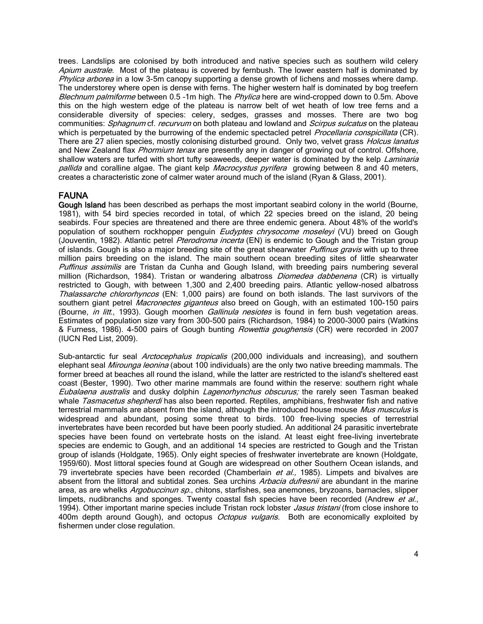trees. Landslips are colonised by both introduced and native species such as southern wild celery Apium australe. Most of the plateau is covered by fernbush. The lower eastern half is dominated by Phylica arborea in a low 3-5m canopy supporting a dense growth of lichens and mosses where damp. The understorey where open is dense with ferns. The higher western half is dominated by bog treefern Blechnum palmiforme between 0.5 -1m high. The Phylica here are wind-cropped down to 0.5m. Above this on the high western edge of the plateau is narrow belt of wet heath of low tree ferns and a considerable diversity of species: celery, sedges, grasses and mosses. There are two bog communities: Sphagnum cf. recurvum on both plateau and lowland and Scirpus sulcatus on the plateau which is perpetuated by the burrowing of the endemic spectacled petrel *Procellaria conspicillata* (CR). There are 27 alien species, mostly colonising disturbed ground. Only two, velvet grass *Holcus lanatus* and New Zealand flax Phormium tenax are presently any in danger of growing out of control. Offshore, shallow waters are turfed with short tufty seaweeds, deeper water is dominated by the kelp Laminaria pallida and coralline algae. The giant kelp *Macrocystus pyrifera* growing between 8 and 40 meters, creates a characteristic zone of calmer water around much of the island (Ryan & Glass, 2001).

# FAUNA

Gough Island has been described as perhaps the most important seabird colony in the world (Bourne, 1981), with 54 bird species recorded in total, of which 22 species breed on the island, 20 being seabirds. Four species are threatened and there are three endemic genera. About 48% of the world's population of southern rockhopper penguin *Eudyptes chrysocome moseleyi* (VU) breed on Gough (Jouventin, 1982). Atlantic petrel Pterodroma incerta (EN) is endemic to Gough and the Tristan group of islands. Gough is also a major breeding site of the great shearwater *Puffinus gravis* with up to three million pairs breeding on the island. The main southern ocean breeding sites of little shearwater Puffinus assimilis are Tristan da Cunha and Gough Island, with breeding pairs numbering several million (Richardson, 1984). Tristan or wandering albatross *Diomedea dabbenena* (CR) is virtually restricted to Gough, with between 1,300 and 2,400 breeding pairs. Atlantic yellow-nosed albatross Thalassarche chlororhyncos (EN: 1,000 pairs) are found on both islands. The last survivors of the southern giant petrel Macronectes giganteus also breed on Gough, with an estimated 100-150 pairs (Bourne, *in litt.*, 1993). Gough moorhen *Gallinula nesiotes* is found in fern bush vegetation areas. Estimates of population size vary from 300-500 pairs (Richardson, 1984) to 2000-3000 pairs (Watkins & Furness, 1986). 4-500 pairs of Gough bunting Rowettia goughensis (CR) were recorded in 2007 (IUCN Red List, 2009).

Sub-antarctic fur seal *Arctocephalus tropicalis* (200,000 individuals and increasing), and southern elephant seal *Mirounga leonina* (about 100 individuals) are the only two native breeding mammals. The former breed at beaches all round the island, while the latter are restricted to the island's sheltered east coast (Bester, 1990). Two other marine mammals are found within the reserve: southern right whale Eubalaena australis and dusky dolphin Lagenorhynchus obscurus; the rarely seen Tasman beaked whale *Tasmacetus shepherdi* has also been reported. Reptiles, amphibians, freshwater fish and native terrestrial mammals are absent from the island, although the introduced house mouse Mus musculus is widespread and abundant, posing some threat to birds. 100 free-living species of terrestrial invertebrates have been recorded but have been poorly studied. An additional 24 parasitic invertebrate species have been found on vertebrate hosts on the island. At least eight free-living invertebrate species are endemic to Gough, and an additional 14 species are restricted to Gough and the Tristan group of islands (Holdgate, 1965). Only eight species of freshwater invertebrate are known (Holdgate, 1959/60). Most littoral species found at Gough are widespread on other Southern Ocean islands, and 79 invertebrate species have been recorded (Chamberlain  $et al., 1985$ ). Limpets and bivalves are absent from the littoral and subtidal zones. Sea urchins Arbacia dufresnii are abundant in the marine area, as are whelks Argobuccinun sp., chitons, starfishes, sea anemones, bryzoans, barnacles, slipper limpets, nudibranchs and sponges. Twenty coastal fish species have been recorded (Andrew et al., 1994). Other important marine species include Tristan rock lobster Jasus tristani (from close inshore to 400m depth around Gough), and octopus *Octopus vulgaris*. Both are economically exploited by fishermen under close regulation.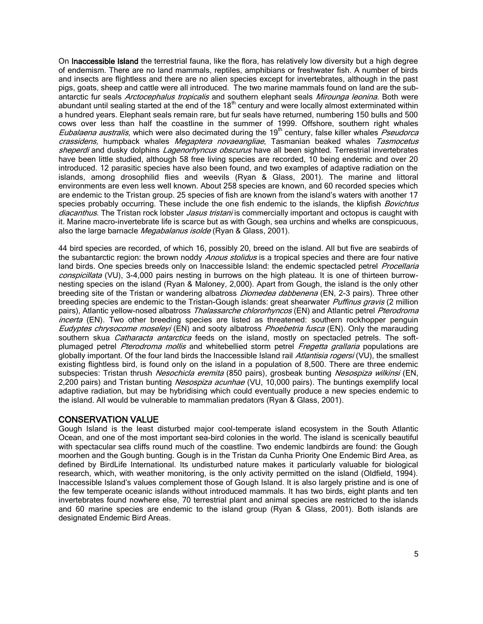On Inaccessible Island the terrestrial fauna, like the flora, has relatively low diversity but a high degree of endemism. There are no land mammals, reptiles, amphibians or freshwater fish. A number of birds and insects are flightless and there are no alien species except for invertebrates, although in the past pigs, goats, sheep and cattle were all introduced. The two marine mammals found on land are the subantarctic fur seals Arctocephalus tropicalis and southern elephant seals Mirounga leonina. Both were abundant until sealing started at the end of the  $18<sup>th</sup>$  century and were locally almost exterminated within a hundred years. Elephant seals remain rare, but fur seals have returned, numbering 150 bulls and 500 cows over less than half the coastline in the summer of 1999. Offshore, southern right whales Eubalaena australis, which were also decimated during the  $19<sup>th</sup>$  century, false killer whales Pseudorca crassidens, humpback whales Megaptera novaeangliae, Tasmanian beaked whales Tasmocetus sheperdi and dusky dolphins Lagenorhyncus obscurus have all been sighted. Terrestrial invertebrates have been little studied, although 58 free living species are recorded, 10 being endemic and over 20 introduced. 12 parasitic species have also been found, and two examples of adaptive radiation on the islands, among drosophilid flies and weevils (Ryan & Glass, 2001). The marine and littoral environments are even less well known. About 258 species are known, and 60 recorded species which are endemic to the Tristan group. 25 species of fish are known from the island's waters with another 17 species probably occurring. These include the one fish endemic to the islands, the klipfish Bovichtus diacanthus. The Tristan rock lobster Jasus tristani is commercially important and octopus is caught with it. Marine macro-invertebrate life is scarce but as with Gough, sea urchins and whelks are conspicuous, also the large barnacle *Megabalanus isolde* (Ryan & Glass, 2001).

44 bird species are recorded, of which 16, possibly 20, breed on the island. All but five are seabirds of the subantarctic region: the brown noddy *Anous stolidus* is a tropical species and there are four native land birds. One species breeds only on Inaccessible Island: the endemic spectacled petrel *Procellaria* conspicillata (VU), 3-4,000 pairs nesting in burrows on the high plateau. It is one of thirteen burrownesting species on the island (Ryan & Maloney, 2,000). Apart from Gough, the island is the only other breeding site of the Tristan or wandering albatross *Diomedea dabbenena* (EN, 2-3 pairs). Three other breeding species are endemic to the Tristan-Gough islands: great shearwater *Puffinus gravis* (2 million pairs), Atlantic yellow-nosed albatross Thalassarche chlororhyncos (EN) and Atlantic petrel Pterodroma incerta (EN). Two other breeding species are listed as threatened: southern rockhopper penguin Eudyptes chrysocome moseleyi (EN) and sooty albatross Phoebetria fusca (EN). Only the marauding southern skua Catharacta antarctica feeds on the island, mostly on spectacled petrels. The softplumaged petrel Pterodroma mollis and whitebellied storm petrel Fregetta grallaria populations are globally important. Of the four land birds the Inaccessible Island rail Atlantisia rogersi (VU), the smallest existing flightless bird, is found only on the island in a population of 8,500. There are three endemic subspecies: Tristan thrush Nesochicla eremita (850 pairs), grosbeak bunting Nesospiza wilkinsi (EN, 2,200 pairs) and Tristan bunting *Nesospiza acunhae* (VU, 10,000 pairs). The buntings exemplify local adaptive radiation, but may be hybridising which could eventually produce a new species endemic to the island. All would be vulnerable to mammalian predators (Ryan & Glass, 2001).

#### CONSERVATION VALUE

Gough Island is the least disturbed major cool-temperate island ecosystem in the South Atlantic Ocean, and one of the most important sea-bird colonies in the world. The island is scenically beautiful with spectacular sea cliffs round much of the coastline. Two endemic landbirds are found: the Gough moorhen and the Gough bunting. Gough is in the Tristan da Cunha Priority One Endemic Bird Area, as defined by BirdLife International. Its undisturbed nature makes it particularly valuable for biological research, which, with weather monitoring, is the only activity permitted on the island (Oldfield, 1994). Inaccessible Island's values complement those of Gough Island. It is also largely pristine and is one of the few temperate oceanic islands without introduced mammals. It has two birds, eight plants and ten invertebrates found nowhere else, 70 terrestrial plant and animal species are restricted to the islands and 60 marine species are endemic to the island group (Ryan & Glass, 2001). Both islands are designated Endemic Bird Areas.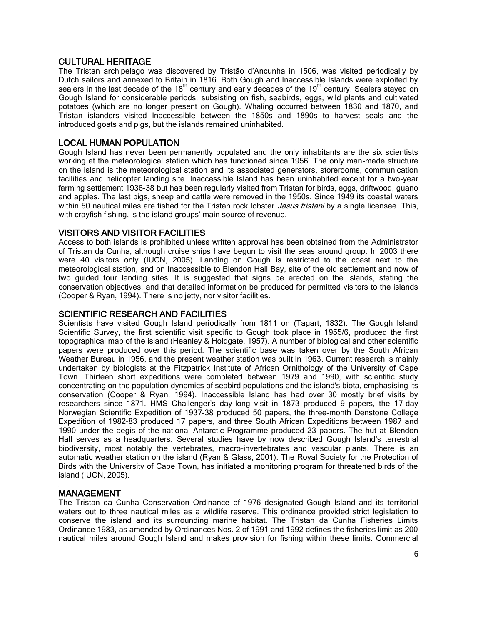#### CULTURAL HERITAGE

The Tristan archipelago was discovered by Tristão d'Ancunha in 1506, was visited periodically by Dutch sailors and annexed to Britain in 1816. Both Gough and Inaccessible Islands were exploited by sealers in the last decade of the  $18<sup>th</sup>$  century and early decades of the  $19<sup>th</sup>$  century. Sealers stayed on Gough Island for considerable periods, subsisting on fish, seabirds, eggs, wild plants and cultivated potatoes (which are no longer present on Gough). Whaling occurred between 1830 and 1870, and Tristan islanders visited Inaccessible between the 1850s and 1890s to harvest seals and the introduced goats and pigs, but the islands remained uninhabited.

### LOCAL HUMAN POPULATION

Gough Island has never been permanently populated and the only inhabitants are the six scientists working at the meteorological station which has functioned since 1956. The only man-made structure on the island is the meteorological station and its associated generators, storerooms, communication facilities and helicopter landing site. Inaccessible Island has been uninhabited except for a two-year farming settlement 1936-38 but has been regularly visited from Tristan for birds, eggs, driftwood, guano and apples. The last pigs, sheep and cattle were removed in the 1950s. Since 1949 its coastal waters within 50 nautical miles are fished for the Tristan rock lobster *Jasus tristani* by a single licensee. This, with crayfish fishing, is the island groups' main source of revenue.

#### VISITORS AND VISITOR FACILITIES

Access to both islands is prohibited unless written approval has been obtained from the Administrator of Tristan da Cunha, although cruise ships have begun to visit the seas around group. In 2003 there were 40 visitors only (IUCN, 2005). Landing on Gough is restricted to the coast next to the meteorological station, and on Inaccessible to Blendon Hall Bay, site of the old settlement and now of two guided tour landing sites. It is suggested that signs be erected on the islands, stating the conservation objectives, and that detailed information be produced for permitted visitors to the islands (Cooper & Ryan, 1994). There is no jetty, nor visitor facilities.

#### SCIENTIFIC RESEARCH AND FACILITIES

Scientists have visited Gough Island periodically from 1811 on (Tagart, 1832). The Gough Island Scientific Survey, the first scientific visit specific to Gough took place in 1955/6, produced the first topographical map of the island (Heanley & Holdgate, 1957). A number of biological and other scientific papers were produced over this period. The scientific base was taken over by the South African Weather Bureau in 1956, and the present weather station was built in 1963. Current research is mainly undertaken by biologists at the Fitzpatrick Institute of African Ornithology of the University of Cape Town. Thirteen short expeditions were completed between 1979 and 1990, with scientific study concentrating on the population dynamics of seabird populations and the island's biota, emphasising its conservation (Cooper & Ryan, 1994). Inaccessible Island has had over 30 mostly brief visits by researchers since 1871. HMS Challenger's day-long visit in 1873 produced 9 papers, the 17-day Norwegian Scientific Expedition of 1937-38 produced 50 papers, the three-month Denstone College Expedition of 1982-83 produced 17 papers, and three South African Expeditions between 1987 and 1990 under the aegis of the national Antarctic Programme produced 23 papers. The hut at Blendon Hall serves as a headquarters. Several studies have by now described Gough Island's terrestrial biodiversity, most notably the vertebrates, macro-invertebrates and vascular plants. There is an automatic weather station on the island (Ryan & Glass, 2001). The Royal Society for the Protection of Birds with the University of Cape Town, has initiated a monitoring program for threatened birds of the island (IUCN, 2005).

#### MANAGEMENT

The Tristan da Cunha Conservation Ordinance of 1976 designated Gough Island and its territorial waters out to three nautical miles as a wildlife reserve. This ordinance provided strict legislation to conserve the island and its surrounding marine habitat. The Tristan da Cunha Fisheries Limits Ordinance 1983, as amended by Ordinances Nos. 2 of 1991 and 1992 defines the fisheries limit as 200 nautical miles around Gough Island and makes provision for fishing within these limits. Commercial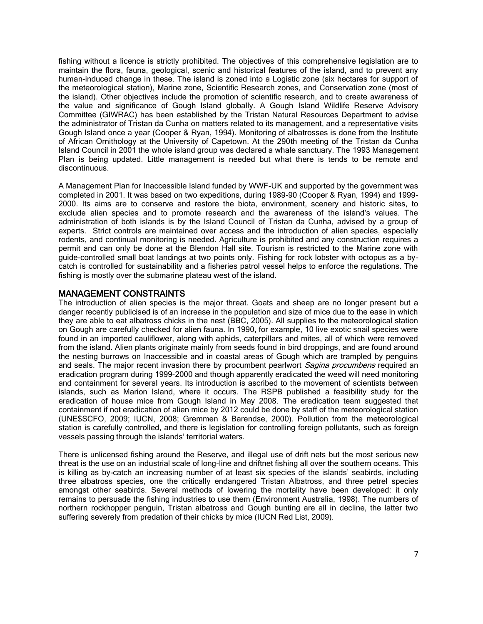fishing without a licence is strictly prohibited. The objectives of this comprehensive legislation are to maintain the flora, fauna, geological, scenic and historical features of the island, and to prevent any human-induced change in these. The island is zoned into a Logistic zone (six hectares for support of the meteorological station), Marine zone, Scientific Research zones, and Conservation zone (most of the island). Other objectives include the promotion of scientific research, and to create awareness of the value and significance of Gough Island globally. A Gough Island Wildlife Reserve Advisory Committee (GIWRAC) has been established by the Tristan Natural Resources Department to advise the administrator of Tristan da Cunha on matters related to its management, and a representative visits Gough Island once a year (Cooper & Ryan, 1994). Monitoring of albatrosses is done from the Institute of African Ornithology at the University of Capetown. At the 290th meeting of the Tristan da Cunha Island Council in 2001 the whole island group was declared a whale sanctuary. The 1993 Management Plan is being updated. Little management is needed but what there is tends to be remote and discontinuous.

A Management Plan for Inaccessible Island funded by WWF-UK and supported by the government was completed in 2001. It was based on two expeditions, during 1989-90 (Cooper & Ryan, 1994) and 1999- 2000. Its aims are to conserve and restore the biota, environment, scenery and historic sites, to exclude alien species and to promote research and the awareness of the island's values. The administration of both islands is by the Island Council of Tristan da Cunha, advised by a group of experts. Strict controls are maintained over access and the introduction of alien species, especially rodents, and continual monitoring is needed. Agriculture is prohibited and any construction requires a permit and can only be done at the Blendon Hall site. Tourism is restricted to the Marine zone with guide-controlled small boat landings at two points only. Fishing for rock lobster with octopus as a bycatch is controlled for sustainability and a fisheries patrol vessel helps to enforce the regulations. The fishing is mostly over the submarine plateau west of the island.

#### MANAGEMENT CONSTRAINTS

The introduction of alien species is the major threat. Goats and sheep are no longer present but a danger recently publicised is of an increase in the population and size of mice due to the ease in which they are able to eat albatross chicks in the nest (BBC, 2005). All supplies to the meteorological station on Gough are carefully checked for alien fauna. In 1990, for example, 10 live exotic snail species were found in an imported cauliflower, along with aphids, caterpillars and mites, all of which were removed from the island. Alien plants originate mainly from seeds found in bird droppings, and are found around the nesting burrows on Inaccessible and in coastal areas of Gough which are trampled by penguins and seals. The major recent invasion there by procumbent pearlwort *Sagina procumbens* required an eradication program during 1999-2000 and though apparently eradicated the weed will need monitoring and containment for several years. Its introduction is ascribed to the movement of scientists between islands, such as Marion Island, where it occurs. The RSPB published a feasibility study for the eradication of house mice from Gough Island in May 2008. The eradication team suggested that containment if not eradication of alien mice by 2012 could be done by staff of the meteorological station (UNE\$SCFO, 2009; IUCN, 2008; Gremmen & Barendse, 2000). Pollution from the meteorological station is carefully controlled, and there is legislation for controlling foreign pollutants, such as foreign vessels passing through the islands' territorial waters.

There is unlicensed fishing around the Reserve, and illegal use of drift nets but the most serious new threat is the use on an industrial scale of long-line and driftnet fishing all over the southern oceans. This is killing as by-catch an increasing number of at least six species of the islands' seabirds, including three albatross species, one the critically endangered Tristan Albatross, and three petrel species amongst other seabirds. Several methods of lowering the mortality have been developed: it only remains to persuade the fishing industries to use them (Environment Australia, 1998). The numbers of northern rockhopper penguin, Tristan albatross and Gough bunting are all in decline, the latter two suffering severely from predation of their chicks by mice (IUCN Red List, 2009).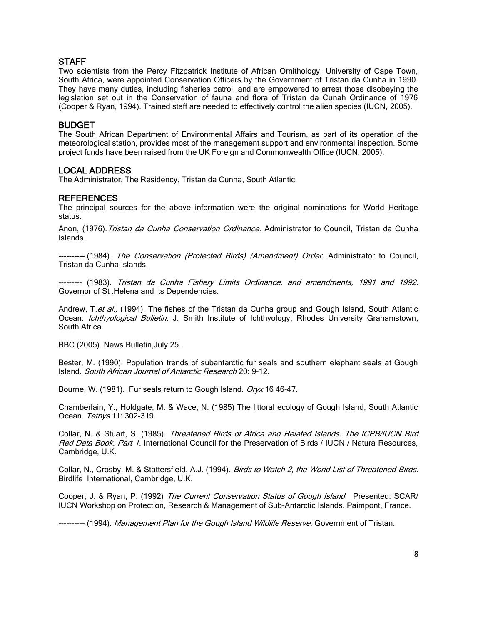# **STAFF**

Two scientists from the Percy Fitzpatrick Institute of African Ornithology, University of Cape Town, South Africa, were appointed Conservation Officers by the Government of Tristan da Cunha in 1990. They have many duties, including fisheries patrol, and are empowered to arrest those disobeying the legislation set out in the Conservation of fauna and flora of Tristan da Cunah Ordinance of 1976 (Cooper & Ryan, 1994). Trained staff are needed to effectively control the alien species (IUCN, 2005).

## BUDGET

The South African Department of Environmental Affairs and Tourism, as part of its operation of the meteorological station, provides most of the management support and environmental inspection. Some project funds have been raised from the UK Foreign and Commonwealth Office (IUCN, 2005).

#### LOCAL ADDRESS

The Administrator, The Residency, Tristan da Cunha, South Atlantic.

#### REFERENCES

The principal sources for the above information were the original nominations for World Heritage status.

Anon, (1976). Tristan da Cunha Conservation Ordinance. Administrator to Council, Tristan da Cunha Islands.

---------- (1984). The Conservation (Protected Birds) (Amendment) Order. Administrator to Council, Tristan da Cunha Islands.

--------- (1983). Tristan da Cunha Fishery Limits Ordinance, and amendments, 1991 and 1992. Governor of St .Helena and its Dependencies.

Andrew, T.et al., (1994). The fishes of the Tristan da Cunha group and Gough Island, South Atlantic Ocean. *Ichthyological Bulletin*. J. Smith Institute of Ichthyology, Rhodes University Grahamstown, South Africa.

BBC (2005). News Bulletin,July 25.

Bester, M. (1990). Population trends of subantarctic fur seals and southern elephant seals at Gough Island. South African Journal of Antarctic Research 20: 9-12.

Bourne, W. (1981). Fur seals return to Gough Island. Oryx 16 46-47.

Chamberlain, Y., Holdgate, M. & Wace, N. (1985) The littoral ecology of Gough Island, South Atlantic Ocean. Tethys 11: 302-319.

Collar, N. & Stuart, S. (1985). Threatened Birds of Africa and Related Islands. The ICPB/IUCN Bird Red Data Book. Part 1. International Council for the Preservation of Birds / IUCN / Natura Resources, Cambridge, U.K.

Collar, N., Crosby, M. & Stattersfield, A.J. (1994). Birds to Watch 2, the World List of Threatened Birds. Birdlife International, Cambridge, U.K.

Cooper, J. & Ryan, P. (1992) The Current Conservation Status of Gough Island. Presented: SCAR/ IUCN Workshop on Protection, Research & Management of Sub-Antarctic Islands. Paimpont, France.

---------- (1994). Management Plan for the Gough Island Wildlife Reserve. Government of Tristan.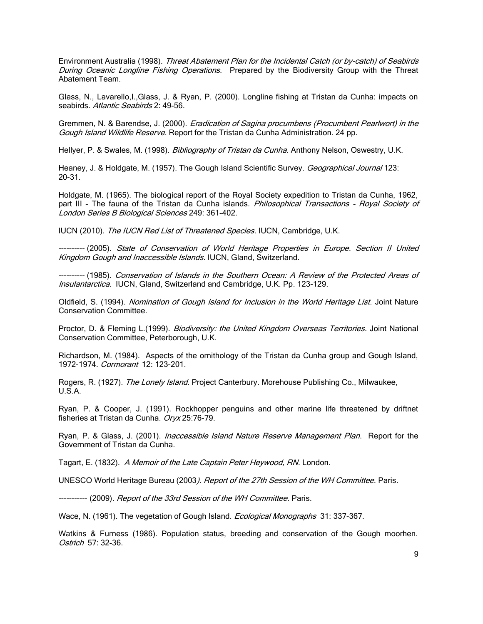Environment Australia (1998). Threat Abatement Plan for the Incidental Catch (or by-catch) of Seabirds During Oceanic Longline Fishing Operations. Prepared by the Biodiversity Group with the Threat Abatement Team.

Glass, N., Lavarello,I.,Glass, J. & Ryan, P. (2000). Longline fishing at Tristan da Cunha: impacts on seabirds. Atlantic Seabirds 2: 49-56.

Gremmen, N. & Barendse, J. (2000). *Eradication of Sagina procumbens (Procumbent Pearlwort) in the* Gough Island Wildlife Reserve. Report for the Tristan da Cunha Administration. 24 pp.

Hellyer, P. & Swales, M. (1998). Bibliography of Tristan da Cunha. Anthony Nelson, Oswestry, U.K.

Heaney, J. & Holdgate, M. (1957). The Gough Island Scientific Survey. Geographical Journal 123: 20-31.

Holdgate, M. (1965). The biological report of the Royal Society expedition to Tristan da Cunha, 1962, part III - The fauna of the Tristan da Cunha islands. Philosophical Transactions - Royal Society of London Series B Biological Sciences 249: 361-402.

IUCN (2010). The IUCN Red List of Threatened Species. IUCN, Cambridge, U.K.

---------- (2005). State of Conservation of World Heritage Properties in Europe. Section II United Kingdom Gough and Inaccessible Islands. IUCN, Gland, Switzerland.

---------- (1985). Conservation of Islands in the Southern Ocean: A Review of the Protected Areas of Insulantarctica. IUCN, Gland, Switzerland and Cambridge, U.K. Pp. 123-129.

Oldfield, S. (1994). Nomination of Gough Island for Inclusion in the World Heritage List. Joint Nature Conservation Committee.

Proctor, D. & Fleming L.(1999). Biodiversity: the United Kingdom Overseas Territories. Joint National Conservation Committee, Peterborough, U.K.

Richardson, M. (1984). Aspects of the ornithology of the Tristan da Cunha group and Gough Island, 1972-1974. Cormorant 12: 123-201.

Rogers, R. (1927). The Lonely Island. Project Canterbury. Morehouse Publishing Co., Milwaukee, U.S.A.

Ryan, P. & Cooper, J. (1991). Rockhopper penguins and other marine life threatened by driftnet fisheries at Tristan da Cunha. Oryx 25:76-79.

Ryan, P. & Glass, J. (2001). *Inaccessible Island Nature Reserve Management Plan*. Report for the Government of Tristan da Cunha.

Tagart, E. (1832). A Memoir of the Late Captain Peter Heywood, RN. London.

UNESCO World Heritage Bureau (2003). Report of the 27th Session of the WH Committee. Paris.

----------- (2009). Report of the 33rd Session of the WH Committee. Paris.

Wace, N. (1961). The vegetation of Gough Island. Ecological Monographs 31: 337-367.

Watkins & Furness (1986). Population status, breeding and conservation of the Gough moorhen. Ostrich 57: 32-36.